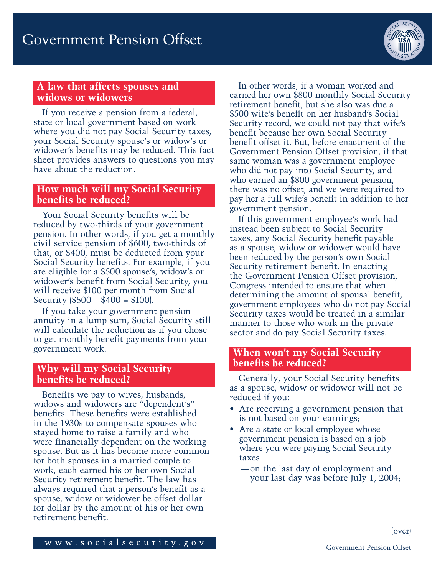

# **A law that affects spouses and widows or widowers**

If you receive a pension from a federal, state or local government based on work where you did not pay Social Security taxes, your Social Security spouse's or widow's or widower's benefits may be reduced. This fact sheet provides answers to questions you may have about the reduction.

### **How much will my Social Security benefits be reduced?**

Your Social Security benefits will be reduced by two-thirds of your government pension. In other words, if you get a monthly civil service pension of \$600, two-thirds of that, or \$400, must be deducted from your Social Security benefits. For example, if you are eligible for a \$500 spouse's, widow's or widower's benefit from Social Security, you will receive \$100 per month from Social Security  $\$500 - \$400 = \$100$ .

If you take your government pension annuity in a lump sum, Social Security still will calculate the reduction as if you chose to get monthly benefit payments from your government work.

### **Why will my Social Security benefits be reduced?**

Benefits we pay to wives, husbands, widows and widowers are "dependent's" benefits. These benefits were established in the 1930s to compensate spouses who stayed home to raise a family and who were financially dependent on the working spouse. But as it has become more common for both spouses in a married couple to work, each earned his or her own Social Security retirement benefit. The law has always required that a person's benefit as a spouse, widow or widower be offset dollar for dollar by the amount of his or her own retirement benefit.

In other words, if a woman worked and earned her own \$800 monthly Social Security retirement benefit, but she also was due a \$500 wife's benefit on her husband's Social Security record, we could not pay that wife's benefit because her own Social Security benefit offset it. But, before enactment of the Government Pension Offset provision, if that same woman was a government employee who did not pay into Social Security, and who earned an \$800 government pension, there was no offset, and we were required to pay her a full wife's benefit in addition to her government pension.

If this government employee's work had instead been subject to Social Security taxes, any Social Security benefit payable as a spouse, widow or widower would have been reduced by the person's own Social Security retirement benefit. In enacting the Government Pension Offset provision, Congress intended to ensure that when determining the amount of spousal benefit, government employees who do not pay Social Security taxes would be treated in a similar manner to those who work in the private sector and do pay Social Security taxes.

### **When won't my Social Security benefits be reduced?**

Generally, your Social Security benefits as a spouse, widow or widower will not be reduced if you:

- Are receiving a government pension that is not based on your earnings;
- Are a state or local employee whose government pension is based on a job where you were paying Social Security taxes
	- —on the last day of employment and your last day was before July 1, 2004;

www.socialsecurity.gov